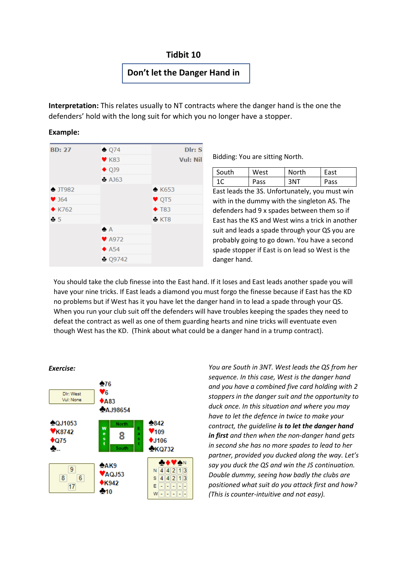## **Tidbit 10**

## **Don't let the Danger Hand in**

**Interpretation:** This relates usually to NT contracts where the danger hand is the one the defenders' hold with the long suit for which you no longer have a stopper.

## **Example:**



Bidding: You are sitting North.

| South | West | North | East |
|-------|------|-------|------|
| 1 C   | Pass | 3NT   | Pass |

East leads the 3S. Unfortunately, you must win with in the dummy with the singleton AS. The defenders had 9 x spades between them so if East has the KS and West wins a trick in another suit and leads a spade through your QS you are probably going to go down. You have a second spade stopper if East is on lead so West is the danger hand.

You should take the club finesse into the East hand. If it loses and East leads another spade you will have your nine tricks. If East leads a diamond you must forgo the finesse because if East has the KD no problems but if West has it you have let the danger hand in to lead a spade through your QS. When you run your club suit off the defenders will have troubles keeping the spades they need to defeat the contract as well as one of them guarding hearts and nine tricks will eventuate even though West has the KD. (Think about what could be a danger hand in a trump contract).



*You are South in 3NT. West leads the QS from her sequence. In this case, West is the danger hand and you have a combined five card holding with 2 stoppers in the danger suit and the opportunity to duck once. In this situation and where you may have to let the defence in twice to make your contract, the guideline is to let the danger hand in first and then when the non-danger hand gets in second she has no more spades to lead to her partner, provided you ducked along the way. Let's say you duck the QS and win the JS continuation. Double dummy, seeing how badly the clubs are positioned what suit do you attack first and how? (This is counter-intuitive and not easy).*